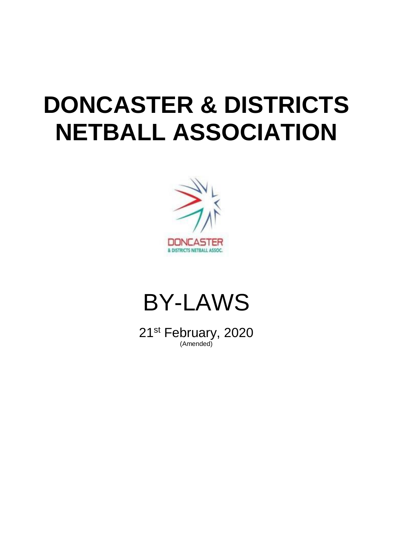# **DONCASTER & DISTRICTS NETBALL ASSOCIATION**





21st February, 2020 (Amended)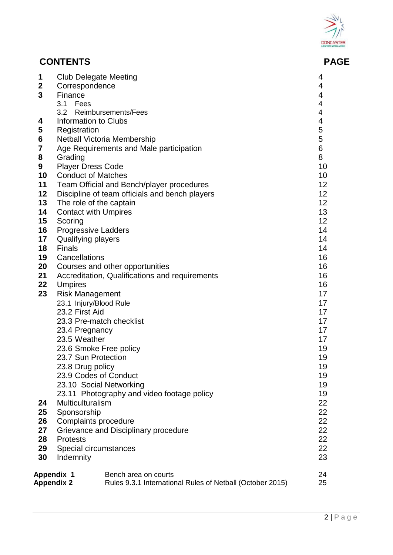

# **CONTENTS PAGE**

| 1<br>$\boldsymbol{2}$<br>3<br>4<br>5<br>6<br>7<br>8<br>9<br>10<br>11<br>12<br>13<br>14<br>15<br>16<br>17<br>18<br>19<br>20<br>21<br>22<br>23<br>24<br>25<br>26<br>27<br>28<br>29<br>30 | <b>Club Delegate Meeting</b><br>Correspondence<br>Finance<br>3.1 Fees<br><b>Information to Clubs</b><br>Registration<br>Grading<br><b>Player Dress Code</b><br><b>Conduct of Matches</b><br>The role of the captain<br><b>Contact with Umpires</b><br>Scoring<br><b>Progressive Ladders</b><br>Qualifying players<br><b>Finals</b><br>Cancellations<br><b>Umpires</b><br><b>Risk Management</b><br>23.1 Injury/Blood Rule<br>23.2 First Aid<br>23.3 Pre-match checklist<br>23.4 Pregnancy<br>23.5 Weather<br>23.6 Smoke Free policy<br>23.7 Sun Protection<br>23.8 Drug policy<br>23.9 Codes of Conduct<br>23.10 Social Networking<br>Multiculturalism<br>Sponsorship<br>Complaints procedure<br><b>Protests</b><br>Special circumstances<br>Indemnity | 3.2 Reimbursements/Fees<br><b>Netball Victoria Membership</b><br>Age Requirements and Male participation<br>Team Official and Bench/player procedures<br>Discipline of team officials and bench players<br>Courses and other opportunities<br>Accreditation, Qualifications and requirements<br>23.11 Photography and video footage policy<br>Grievance and Disciplinary procedure | 4<br>4<br>$\overline{\mathbf{4}}$<br>$\overline{\mathbf{4}}$<br>$\overline{\mathbf{4}}$<br>$\overline{\mathbf{4}}$<br>5<br>5<br>6<br>8<br>10<br>10<br>12<br>12<br>12<br>13<br>12<br>14<br>14<br>14<br>16<br>16<br>16<br>16<br>17<br>17<br>17<br>17<br>17<br>17<br>19<br>19<br>19<br>19<br>19<br>19<br>22<br>22<br>22<br>22<br>22<br>22<br>23 |
|----------------------------------------------------------------------------------------------------------------------------------------------------------------------------------------|--------------------------------------------------------------------------------------------------------------------------------------------------------------------------------------------------------------------------------------------------------------------------------------------------------------------------------------------------------------------------------------------------------------------------------------------------------------------------------------------------------------------------------------------------------------------------------------------------------------------------------------------------------------------------------------------------------------------------------------------------------|------------------------------------------------------------------------------------------------------------------------------------------------------------------------------------------------------------------------------------------------------------------------------------------------------------------------------------------------------------------------------------|----------------------------------------------------------------------------------------------------------------------------------------------------------------------------------------------------------------------------------------------------------------------------------------------------------------------------------------------|
|                                                                                                                                                                                        | Appendix 1                                                                                                                                                                                                                                                                                                                                                                                                                                                                                                                                                                                                                                                                                                                                             | Bench area on courts                                                                                                                                                                                                                                                                                                                                                               | 24                                                                                                                                                                                                                                                                                                                                           |
|                                                                                                                                                                                        | <b>Appendix 2</b>                                                                                                                                                                                                                                                                                                                                                                                                                                                                                                                                                                                                                                                                                                                                      | Rules 9.3.1 International Rules of Netball (October 2015)                                                                                                                                                                                                                                                                                                                          | 25                                                                                                                                                                                                                                                                                                                                           |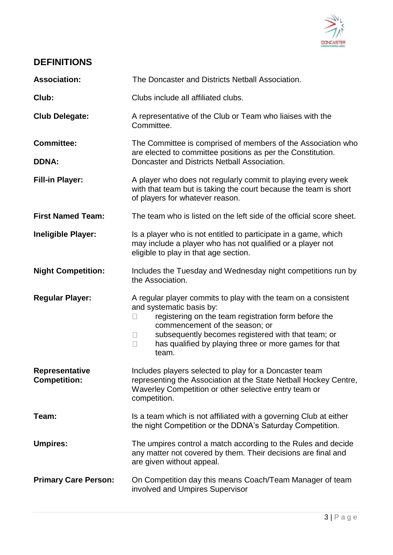

# **DEFINITIONS**

| <b>Association:</b>                          | The Doncaster and Districts Netball Association.                                                                                                                                                                                                                                                                                       |  |  |
|----------------------------------------------|----------------------------------------------------------------------------------------------------------------------------------------------------------------------------------------------------------------------------------------------------------------------------------------------------------------------------------------|--|--|
| Club:                                        | Clubs include all affiliated clubs.                                                                                                                                                                                                                                                                                                    |  |  |
| <b>Club Delegate:</b>                        | A representative of the Club or Team who liaises with the<br>Committee.                                                                                                                                                                                                                                                                |  |  |
| <b>Committee:</b><br><b>DDNA:</b>            | The Committee is comprised of members of the Association who<br>are elected to committee positions as per the Constitution.<br>Doncaster and Districts Netball Association.                                                                                                                                                            |  |  |
| <b>Fill-in Player:</b>                       | A player who does not regularly commit to playing every week<br>with that team but is taking the court because the team is short<br>of players for whatever reason.                                                                                                                                                                    |  |  |
| <b>First Named Team:</b>                     | The team who is listed on the left side of the official score sheet.                                                                                                                                                                                                                                                                   |  |  |
| <b>Ineligible Player:</b>                    | Is a player who is not entitled to participate in a game, which<br>may include a player who has not qualified or a player not<br>eligible to play in that age section.                                                                                                                                                                 |  |  |
| <b>Night Competition:</b>                    | Includes the Tuesday and Wednesday night competitions run by<br>the Association.                                                                                                                                                                                                                                                       |  |  |
| <b>Regular Player:</b>                       | A regular player commits to play with the team on a consistent<br>and systematic basis by:<br>registering on the team registration form before the<br>commencement of the season; or<br>subsequently becomes registered with that team; or<br>$\mathbf{L}$<br>has qualified by playing three or more games for that<br>$\Box$<br>team. |  |  |
| <b>Representative</b><br><b>Competition:</b> | Includes players selected to play for a Doncaster team<br>representing the Association at the State Netball Hockey Centre,<br>Waverley Competition or other selective entry team or<br>competition.                                                                                                                                    |  |  |
| Team:                                        | Is a team which is not affiliated with a governing Club at either<br>the night Competition or the DDNA's Saturday Competition.                                                                                                                                                                                                         |  |  |
| <b>Umpires:</b>                              | The umpires control a match according to the Rules and decide<br>any matter not covered by them. Their decisions are final and<br>are given without appeal.                                                                                                                                                                            |  |  |
| <b>Primary Care Person:</b>                  | On Competition day this means Coach/Team Manager of team<br>involved and Umpires Supervisor                                                                                                                                                                                                                                            |  |  |
|                                              |                                                                                                                                                                                                                                                                                                                                        |  |  |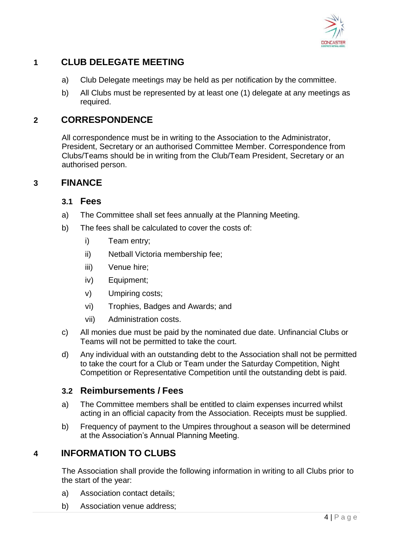

# **1 CLUB DELEGATE MEETING**

- a) Club Delegate meetings may be held as per notification by the committee.
- b) All Clubs must be represented by at least one (1) delegate at any meetings as required.

#### **2 CORRESPONDENCE**

All correspondence must be in writing to the Association to the Administrator, President, Secretary or an authorised Committee Member. Correspondence from Clubs/Teams should be in writing from the Club/Team President, Secretary or an authorised person.

#### **3 FINANCE**

#### **3.1 Fees**

- a) The Committee shall set fees annually at the Planning Meeting.
- b) The fees shall be calculated to cover the costs of:
	- i) Team entry;
	- ii) Netball Victoria membership fee;
	- iii) Venue hire;
	- iv) Equipment;
	- v) Umpiring costs;
	- vi) Trophies, Badges and Awards; and
	- vii) Administration costs.
- c) All monies due must be paid by the nominated due date. Unfinancial Clubs or Teams will not be permitted to take the court.
- d) Any individual with an outstanding debt to the Association shall not be permitted to take the court for a Club or Team under the Saturday Competition, Night Competition or Representative Competition until the outstanding debt is paid.

#### **3.2 Reimbursements / Fees**

- a) The Committee members shall be entitled to claim expenses incurred whilst acting in an official capacity from the Association. Receipts must be supplied.
- b) Frequency of payment to the Umpires throughout a season will be determined at the Association's Annual Planning Meeting.

## **4 INFORMATION TO CLUBS**

The Association shall provide the following information in writing to all Clubs prior to the start of the year:

- a) Association contact details;
- b) Association venue address;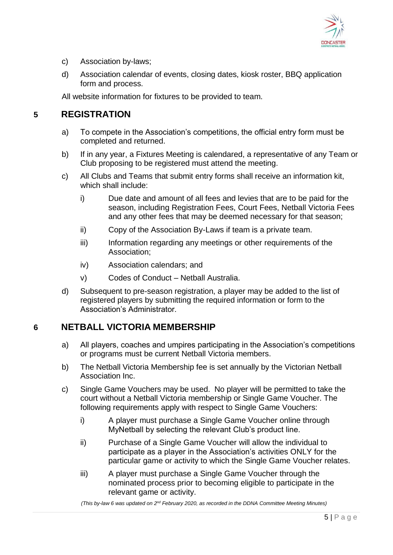

- c) Association by-laws;
- d) Association calendar of events, closing dates, kiosk roster, BBQ application form and process.

All website information for fixtures to be provided to team.

#### **5 REGISTRATION**

- a) To compete in the Association's competitions, the official entry form must be completed and returned.
- b) If in any year, a Fixtures Meeting is calendared, a representative of any Team or Club proposing to be registered must attend the meeting.
- c) All Clubs and Teams that submit entry forms shall receive an information kit, which shall include:
	- i) Due date and amount of all fees and levies that are to be paid for the season, including Registration Fees, Court Fees, Netball Victoria Fees and any other fees that may be deemed necessary for that season;
	- ii) Copy of the Association By-Laws if team is a private team.
	- iii) Information regarding any meetings or other requirements of the Association;
	- iv) Association calendars; and
	- v) Codes of Conduct Netball Australia.
- d) Subsequent to pre-season registration, a player may be added to the list of registered players by submitting the required information or form to the Association's Administrator.

## **6 NETBALL VICTORIA MEMBERSHIP**

- a) All players, coaches and umpires participating in the Association's competitions or programs must be current Netball Victoria members.
- b) The Netball Victoria Membership fee is set annually by the Victorian Netball Association Inc.
- c) Single Game Vouchers may be used. No player will be permitted to take the court without a Netball Victoria membership or Single Game Voucher. The following requirements apply with respect to Single Game Vouchers:
	- i) A player must purchase a Single Game Voucher online through MyNetball by selecting the relevant Club's product line.
	- ii) Purchase of a Single Game Voucher will allow the individual to participate as a player in the Association's activities ONLY for the particular game or activity to which the Single Game Voucher relates.
	- iii) A player must purchase a Single Game Voucher through the nominated process prior to becoming eligible to participate in the relevant game or activity.

*(This by-law 6 was updated on 2<sup>nd</sup> February 2020, as recorded in the DDNA Committee Meeting Minutes)*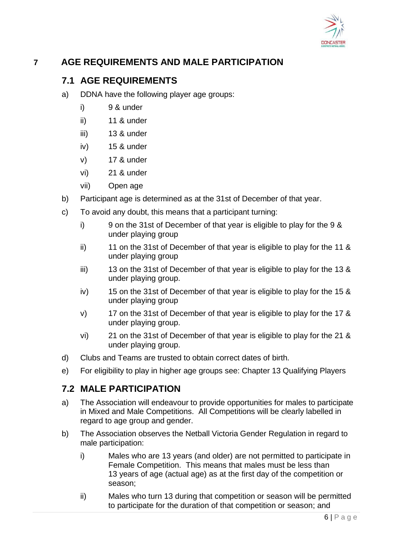

# **7 AGE REQUIREMENTS AND MALE PARTICIPATION**

#### **7.1 AGE REQUIREMENTS**

- a) DDNA have the following player age groups:
	- i) 9 & under
	- ii) 11 & under
	- iii) 13 & under
	- iv) 15 & under
	- v) 17 & under
	- vi) 21 & under
	- vii) Open age
- b) Participant age is determined as at the 31st of December of that year.
- c) To avoid any doubt, this means that a participant turning:
	- i) 9 on the 31st of December of that year is eligible to play for the 9 & under playing group
	- ii) 11 on the 31st of December of that year is eligible to play for the 11 & under playing group
	- iii) 13 on the 31st of December of that year is eligible to play for the 13 & under playing group.
	- iv) 15 on the 31st of December of that year is eligible to play for the 15 & under playing group
	- v) 17 on the 31st of December of that year is eligible to play for the 17 & under playing group.
	- vi) 21 on the 31st of December of that year is eligible to play for the 21 & under playing group.
- d) Clubs and Teams are trusted to obtain correct dates of birth.
- e) For eligibility to play in higher age groups see: Chapter 13 Qualifying Players

#### **7.2 MALE PARTICIPATION**

- a) The Association will endeavour to provide opportunities for males to participate in Mixed and Male Competitions. All Competitions will be clearly labelled in regard to age group and gender.
- b) The Association observes the Netball Victoria Gender Regulation in regard to male participation:
	- i) Males who are 13 years (and older) are not permitted to participate in Female Competition. This means that males must be less than 13 years of age (actual age) as at the first day of the competition or season;
	- ii) Males who turn 13 during that competition or season will be permitted to participate for the duration of that competition or season; and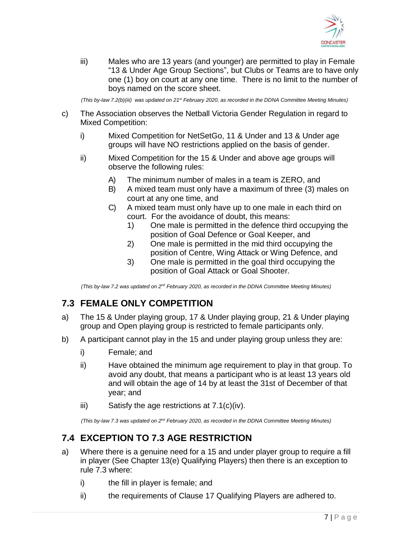

iii) Males who are 13 years (and younger) are permitted to play in Female "13 & Under Age Group Sections", but Clubs or Teams are to have only one (1) boy on court at any one time. There is no limit to the number of boys named on the score sheet.

*(This by-law 7.2(b)(iii) was updated on 21st February 2020, as recorded in the DDNA Committee Meeting Minutes)*

- c) The Association observes the Netball Victoria Gender Regulation in regard to Mixed Competition:
	- i) Mixed Competition for NetSetGo, 11 & Under and 13 & Under age groups will have NO restrictions applied on the basis of gender.
	- ii) Mixed Competition for the 15 & Under and above age groups will observe the following rules:
		- A) The minimum number of males in a team is ZERO, and
		- B) A mixed team must only have a maximum of three (3) males on court at any one time, and
		- C) A mixed team must only have up to one male in each third on court. For the avoidance of doubt, this means:
			- 1) One male is permitted in the defence third occupying the position of Goal Defence or Goal Keeper, and
			- 2) One male is permitted in the mid third occupying the position of Centre, Wing Attack or Wing Defence, and
			- 3) One male is permitted in the goal third occupying the position of Goal Attack or Goal Shooter.

*(This by-law 7.2 was updated on 2<sup>nd</sup> February 2020, as recorded in the DDNA Committee Meeting Minutes)* 

## **7.3 FEMALE ONLY COMPETITION**

- a) The 15 & Under playing group, 17 & Under playing group, 21 & Under playing group and Open playing group is restricted to female participants only.
- b) A participant cannot play in the 15 and under playing group unless they are:
	- i) Female; and
	- ii) Have obtained the minimum age requirement to play in that group. To avoid any doubt, that means a participant who is at least 13 years old and will obtain the age of 14 by at least the 31st of December of that year; and
	- iii) Satisfy the age restrictions at 7.1(c)(iv).

*(This by-law 7.3 was updated on 2<sup>nd</sup> February 2020, as recorded in the DDNA Committee Meeting Minutes)* 

# **7.4 EXCEPTION TO 7.3 AGE RESTRICTION**

- a) Where there is a genuine need for a 15 and under player group to require a fill in player (See Chapter 13(e) Qualifying Players) then there is an exception to rule 7.3 where:
	- i) the fill in player is female; and
	- ii) the requirements of Clause 17 Qualifying Players are adhered to.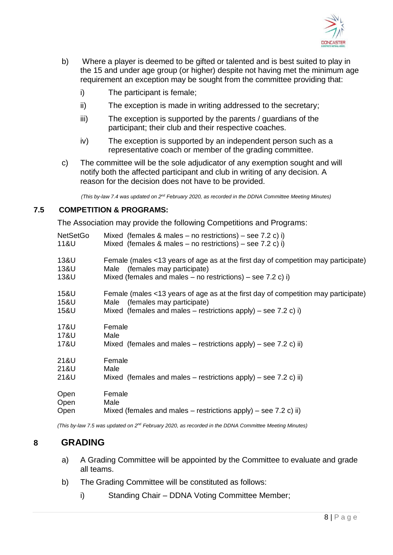

- b) Where a player is deemed to be gifted or talented and is best suited to play in the 15 and under age group (or higher) despite not having met the minimum age requirement an exception may be sought from the committee providing that:
	- i) The participant is female;
	- ii) The exception is made in writing addressed to the secretary;
	- iii) The exception is supported by the parents / guardians of the participant; their club and their respective coaches.
	- iv) The exception is supported by an independent person such as a representative coach or member of the grading committee.
- c) The committee will be the sole adjudicator of any exemption sought and will notify both the affected participant and club in writing of any decision. A reason for the decision does not have to be provided.

*(This by-law 7.4 was updated on 2<sup>nd</sup> February 2020, as recorded in the DDNA Committee Meeting Minutes)* 

#### **7.5 COMPETITION & PROGRAMS:**

The Association may provide the following Competitions and Programs:

| <b>NetSetGo</b> | Mixed (females & males – no restrictions) – see 7.2 c) i)                          |
|-----------------|------------------------------------------------------------------------------------|
| 11&U            | Mixed (females & males – no restrictions) – see 7.2 c) i)                          |
| 13&U            | Female (males <13 years of age as at the first day of competition may participate) |
| 13&U            | Male (females may participate)                                                     |
| 13&U            | Mixed (females and males $-$ no restrictions) $-$ see 7.2 c) i)                    |
| 15&U            | Female (males <13 years of age as at the first day of competition may participate) |
| 15&U            | Male (females may participate)                                                     |
| 15&U            | Mixed (females and males – restrictions apply) – see 7.2 c) i)                     |
| 17&U            | Female                                                                             |
| 17&U            | Male                                                                               |
| 17&U            | Mixed (females and males – restrictions apply) – see 7.2 c) ii)                    |
| 21&U            | Female                                                                             |
| 21&U            | Male                                                                               |
| 21&U            | Mixed (females and males – restrictions apply) – see 7.2 c) ii)                    |
| Open            | Female                                                                             |
| Open            | Male                                                                               |
| Open            | Mixed (females and males – restrictions apply) – see 7.2 c) ii)                    |

*(This by-law 7.5 was updated on 2<sup>nd</sup> February 2020, as recorded in the DDNA Committee Meeting Minutes)* 

#### **8 GRADING**

- a) A Grading Committee will be appointed by the Committee to evaluate and grade all teams.
- b) The Grading Committee will be constituted as follows:
	- i) Standing Chair DDNA Voting Committee Member;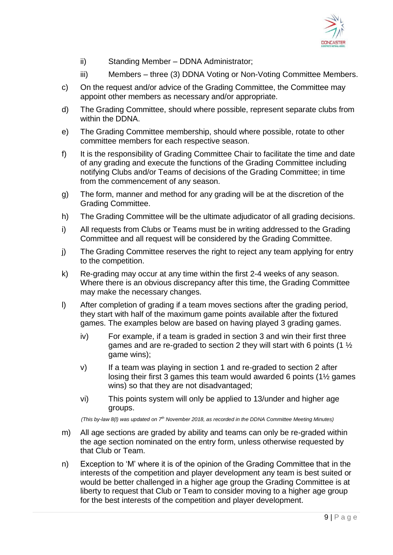

- ii) Standing Member DDNA Administrator;
- iii) Members three (3) DDNA Voting or Non-Voting Committee Members.
- c) On the request and/or advice of the Grading Committee, the Committee may appoint other members as necessary and/or appropriate.
- d) The Grading Committee, should where possible, represent separate clubs from within the DDNA.
- e) The Grading Committee membership, should where possible, rotate to other committee members for each respective season.
- f) It is the responsibility of Grading Committee Chair to facilitate the time and date of any grading and execute the functions of the Grading Committee including notifying Clubs and/or Teams of decisions of the Grading Committee; in time from the commencement of any season.
- g) The form, manner and method for any grading will be at the discretion of the Grading Committee.
- h) The Grading Committee will be the ultimate adjudicator of all grading decisions.
- i) All requests from Clubs or Teams must be in writing addressed to the Grading Committee and all request will be considered by the Grading Committee.
- j) The Grading Committee reserves the right to reject any team applying for entry to the competition.
- k) Re-grading may occur at any time within the first 2-4 weeks of any season. Where there is an obvious discrepancy after this time, the Grading Committee may make the necessary changes.
- l) After completion of grading if a team moves sections after the grading period, they start with half of the maximum game points available after the fixtured games. The examples below are based on having played 3 grading games.
	- iv) For example, if a team is graded in section 3 and win their first three games and are re-graded to section 2 they will start with 6 points (1  $\frac{1}{2}$ ) game wins);
	- v) If a team was playing in section 1 and re-graded to section 2 after losing their first 3 games this team would awarded 6 points (1½ games wins) so that they are not disadvantaged;
	- vi) This points system will only be applied to 13/under and higher age groups.

*(This by-law 8(l) was updated on 7th November 2018, as recorded in the DDNA Committee Meeting Minutes)*

- m) All age sections are graded by ability and teams can only be re-graded within the age section nominated on the entry form, unless otherwise requested by that Club or Team.
- n) Exception to 'M' where it is of the opinion of the Grading Committee that in the interests of the competition and player development any team is best suited or would be better challenged in a higher age group the Grading Committee is at liberty to request that Club or Team to consider moving to a higher age group for the best interests of the competition and player development.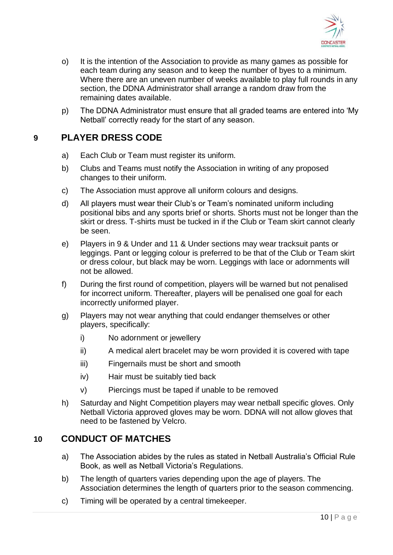

- o) It is the intention of the Association to provide as many games as possible for each team during any season and to keep the number of byes to a minimum. Where there are an uneven number of weeks available to play full rounds in any section, the DDNA Administrator shall arrange a random draw from the remaining dates available.
- p) The DDNA Administrator must ensure that all graded teams are entered into 'My Netball' correctly ready for the start of any season.

#### **9 PLAYER DRESS CODE**

- a) Each Club or Team must register its uniform.
- b) Clubs and Teams must notify the Association in writing of any proposed changes to their uniform.
- c) The Association must approve all uniform colours and designs.
- d) All players must wear their Club's or Team's nominated uniform including positional bibs and any sports brief or shorts. Shorts must not be longer than the skirt or dress. T-shirts must be tucked in if the Club or Team skirt cannot clearly be seen.
- e) Players in 9 & Under and 11 & Under sections may wear tracksuit pants or leggings. Pant or legging colour is preferred to be that of the Club or Team skirt or dress colour, but black may be worn. Leggings with lace or adornments will not be allowed.
- f) During the first round of competition, players will be warned but not penalised for incorrect uniform. Thereafter, players will be penalised one goal for each incorrectly uniformed player.
- g) Players may not wear anything that could endanger themselves or other players, specifically:
	- i) No adornment or jewellery
	- ii) A medical alert bracelet may be worn provided it is covered with tape
	- iii) Fingernails must be short and smooth
	- iv) Hair must be suitably tied back
	- v) Piercings must be taped if unable to be removed
- h) Saturday and Night Competition players may wear netball specific gloves. Only Netball Victoria approved gloves may be worn. DDNA will not allow gloves that need to be fastened by Velcro.

#### **10 CONDUCT OF MATCHES**

- a) The Association abides by the rules as stated in Netball Australia's Official Rule Book, as well as Netball Victoria's Regulations.
- b) The length of quarters varies depending upon the age of players. The Association determines the length of quarters prior to the season commencing.
- c) Timing will be operated by a central timekeeper.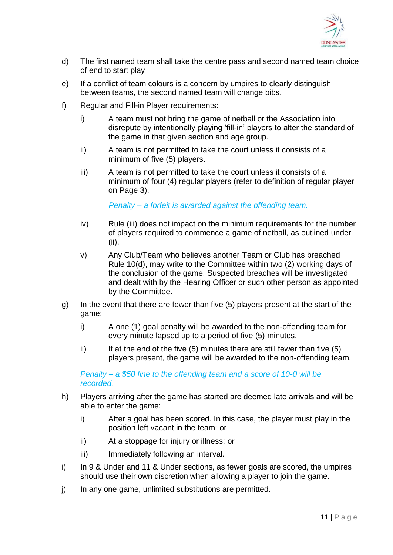

- d) The first named team shall take the centre pass and second named team choice of end to start play
- e) If a conflict of team colours is a concern by umpires to clearly distinguish between teams, the second named team will change bibs.
- f) Regular and Fill-in Player requirements:
	- i) A team must not bring the game of netball or the Association into disrepute by intentionally playing 'fill-in' players to alter the standard of the game in that given section and age group.
	- ii) A team is not permitted to take the court unless it consists of a minimum of five (5) players.
	- iii) A team is not permitted to take the court unless it consists of a minimum of four (4) regular players (refer to definition of regular player on Page 3).

*Penalty – a forfeit is awarded against the offending team.*

- iv) Rule (iii) does not impact on the minimum requirements for the number of players required to commence a game of netball, as outlined under (ii).
- v) Any Club/Team who believes another Team or Club has breached Rule 10(d), may write to the Committee within two (2) working days of the conclusion of the game. Suspected breaches will be investigated and dealt with by the Hearing Officer or such other person as appointed by the Committee.
- g) In the event that there are fewer than five (5) players present at the start of the game:
	- i) A one (1) goal penalty will be awarded to the non-offending team for every minute lapsed up to a period of five (5) minutes.
	- ii) If at the end of the five  $(5)$  minutes there are still fewer than five  $(5)$ players present, the game will be awarded to the non-offending team.

*Penalty – a \$50 fine to the offending team and a score of 10-0 will be recorded.*

- h) Players arriving after the game has started are deemed late arrivals and will be able to enter the game:
	- i) After a goal has been scored. In this case, the player must play in the position left vacant in the team; or
	- ii) At a stoppage for injury or illness; or
	- iii) Immediately following an interval.
- i) In 9 & Under and 11 & Under sections, as fewer goals are scored, the umpires should use their own discretion when allowing a player to join the game.
- j) In any one game, unlimited substitutions are permitted.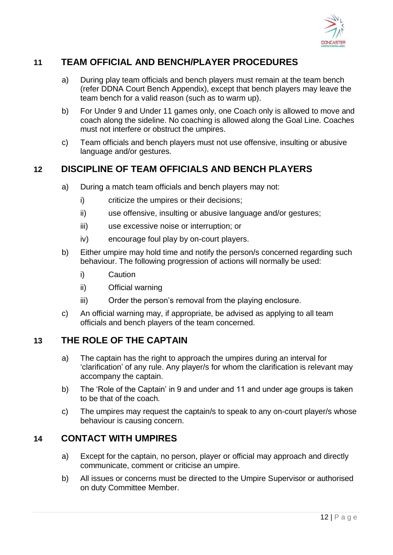

# **11 TEAM OFFICIAL AND BENCH/PLAYER PROCEDURES**

- a) During play team officials and bench players must remain at the team bench (refer DDNA Court Bench Appendix), except that bench players may leave the team bench for a valid reason (such as to warm up).
- b) For Under 9 and Under 11 games only, one Coach only is allowed to move and coach along the sideline. No coaching is allowed along the Goal Line. Coaches must not interfere or obstruct the umpires.
- c) Team officials and bench players must not use offensive, insulting or abusive language and/or gestures.

## **12 DISCIPLINE OF TEAM OFFICIALS AND BENCH PLAYERS**

- a) During a match team officials and bench players may not:
	- i) criticize the umpires or their decisions;
	- ii) use offensive, insulting or abusive language and/or gestures;
	- iii) use excessive noise or interruption; or
	- iv) encourage foul play by on-court players.
- b) Either umpire may hold time and notify the person/s concerned regarding such behaviour. The following progression of actions will normally be used:
	- i) Caution
	- ii) Official warning
	- iii) Order the person's removal from the playing enclosure.
- c) An official warning may, if appropriate, be advised as applying to all team officials and bench players of the team concerned.

#### **13 THE ROLE OF THE CAPTAIN**

- a) The captain has the right to approach the umpires during an interval for 'clarification' of any rule. Any player/s for whom the clarification is relevant may accompany the captain.
- b) The 'Role of the Captain' in 9 and under and 11 and under age groups is taken to be that of the coach.
- c) The umpires may request the captain/s to speak to any on-court player/s whose behaviour is causing concern.

#### **14 CONTACT WITH UMPIRES**

- a) Except for the captain, no person, player or official may approach and directly communicate, comment or criticise an umpire.
- b) All issues or concerns must be directed to the Umpire Supervisor or authorised on duty Committee Member.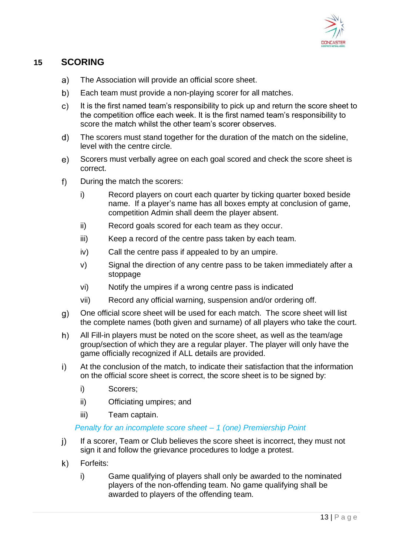

# **15 SCORING**

- a) The Association will provide an official score sheet.
- b) Each team must provide a non-playing scorer for all matches.
- $\mathsf{c}$ It is the first named team's responsibility to pick up and return the score sheet to the competition office each week. It is the first named team's responsibility to score the match whilst the other team's scorer observes.
- d) The scorers must stand together for the duration of the match on the sideline, level with the centre circle.
- $e)$ Scorers must verbally agree on each goal scored and check the score sheet is correct.
- $f)$ During the match the scorers:
	- i) Record players on court each quarter by ticking quarter boxed beside name. If a player's name has all boxes empty at conclusion of game, competition Admin shall deem the player absent.
	- ii) Record goals scored for each team as they occur.
	- iii) Keep a record of the centre pass taken by each team.
	- iv) Call the centre pass if appealed to by an umpire.
	- v) Signal the direction of any centre pass to be taken immediately after a stoppage
	- vi) Notify the umpires if a wrong centre pass is indicated
	- vii) Record any official warning, suspension and/or ordering off.
- g) One official score sheet will be used for each match. The score sheet will list the complete names (both given and surname) of all players who take the court.
- $h)$ All Fill-in players must be noted on the score sheet, as well as the team/age group/section of which they are a regular player. The player will only have the game officially recognized if ALL details are provided.
- $\mathbf{i}$ At the conclusion of the match, to indicate their satisfaction that the information on the official score sheet is correct, the score sheet is to be signed by:
	- i) Scorers;
	- ii) Officiating umpires; and
	- iii) Team captain.

#### *Penalty for an incomplete score sheet – 1 (one) Premiership Point*

- If a scorer, Team or Club believes the score sheet is incorrect, they must not  $\vert$ ) sign it and follow the grievance procedures to lodge a protest.
- Forfeits:  $\mathsf{k}$ 
	- i) Game qualifying of players shall only be awarded to the nominated players of the non-offending team. No game qualifying shall be awarded to players of the offending team.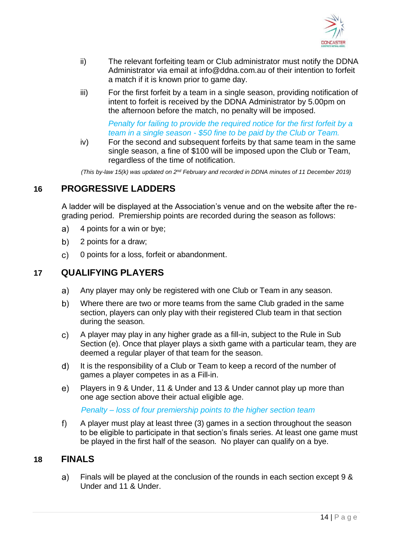

- ii) The relevant forfeiting team or Club administrator must notify the DDNA Administrator via email at [info@ddna.com.au](mailto:info@ddna.com.au) of their intention to forfeit a match if it is known prior to game day.
- iii) For the first forfeit by a team in a single season, providing notification of intent to forfeit is received by the DDNA Administrator by 5.00pm on the afternoon before the match, no penalty will be imposed.

#### *Penalty for failing to provide the required notice for the first forfeit by a team in a single season - \$50 fine to be paid by the Club or Team.*

iv) For the second and subsequent forfeits by that same team in the same single season, a fine of \$100 will be imposed upon the Club or Team, regardless of the time of notification.

*(This by-law 15(k) was updated on 2nd February and recorded in DDNA minutes of 11 December 2019)*

## **16 PROGRESSIVE LADDERS**

A ladder will be displayed at the Association's venue and on the website after the regrading period. Premiership points are recorded during the season as follows:

- 4 points for a win or bye; a)
- $b)$ 2 points for a draw;
- $\mathsf{c}$ 0 points for a loss, forfeit or abandonment.

#### **17 QUALIFYING PLAYERS**

- a) Any player may only be registered with one Club or Team in any season.
- b) Where there are two or more teams from the same Club graded in the same section, players can only play with their registered Club team in that section during the season.
- $\mathsf{c})$ A player may play in any higher grade as a fill-in, subject to the Rule in Sub Section (e). Once that player plays a sixth game with a particular team, they are deemed a regular player of that team for the season.
- $(d)$ It is the responsibility of a Club or Team to keep a record of the number of games a player competes in as a Fill-in.
- Players in 9 & Under, 11 & Under and 13 & Under cannot play up more than  $e)$ one age section above their actual eligible age.

*Penalty – loss of four premiership points to the higher section team*

 $f$ A player must play at least three (3) games in a section throughout the season to be eligible to participate in that section's finals series. At least one game must be played in the first half of the season. No player can qualify on a bye.

#### **18 FINALS**

a) Finals will be played at the conclusion of the rounds in each section except 9 & Under and 11 & Under.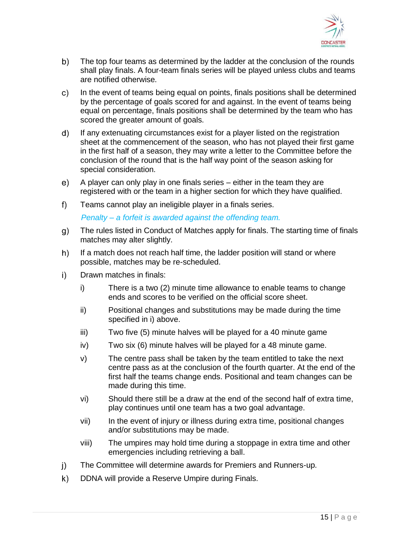

- b) The top four teams as determined by the ladder at the conclusion of the rounds shall play finals. A four-team finals series will be played unless clubs and teams are notified otherwise.
- In the event of teams being equal on points, finals positions shall be determined  $\mathsf{c}$ by the percentage of goals scored for and against. In the event of teams being equal on percentage, finals positions shall be determined by the team who has scored the greater amount of goals.
- $\mathsf{d}$ If any extenuating circumstances exist for a player listed on the registration sheet at the commencement of the season, who has not played their first game in the first half of a season, they may write a letter to the Committee before the conclusion of the round that is the half way point of the season asking for special consideration.
- $e)$ A player can only play in one finals series – either in the team they are registered with or the team in a higher section for which they have qualified.
- $f$ Teams cannot play an ineligible player in a finals series.

*Penalty – a forfeit is awarded against the offending team.*

- The rules listed in Conduct of Matches apply for finals. The starting time of finals  $g)$ matches may alter slightly.
- $h)$ If a match does not reach half time, the ladder position will stand or where possible, matches may be re-scheduled.
- $\mathbf{i}$ Drawn matches in finals:
	- i) There is a two (2) minute time allowance to enable teams to change ends and scores to be verified on the official score sheet.
	- ii) Positional changes and substitutions may be made during the time specified in i) above.
	- iii) Two five (5) minute halves will be played for a 40 minute game
	- iv) Two six (6) minute halves will be played for a 48 minute game.
	- v) The centre pass shall be taken by the team entitled to take the next centre pass as at the conclusion of the fourth quarter. At the end of the first half the teams change ends. Positional and team changes can be made during this time.
	- vi) Should there still be a draw at the end of the second half of extra time, play continues until one team has a two goal advantage.
	- vii) In the event of injury or illness during extra time, positional changes and/or substitutions may be made.
	- viii) The umpires may hold time during a stoppage in extra time and other emergencies including retrieving a ball.
- $\mathbf{i}$ The Committee will determine awards for Premiers and Runners-up.
- $\mathsf{k}$ DDNA will provide a Reserve Umpire during Finals.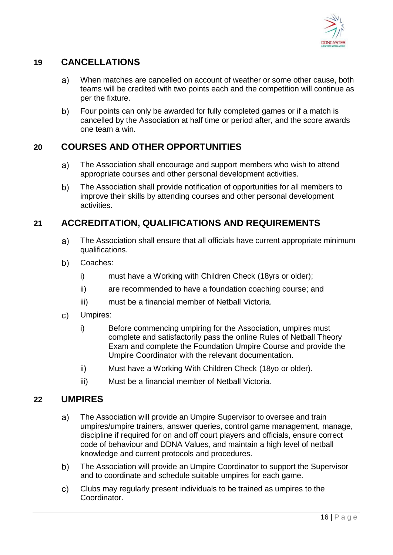

# **19 CANCELLATIONS**

- $a)$ When matches are cancelled on account of weather or some other cause, both teams will be credited with two points each and the competition will continue as per the fixture.
- b) Four points can only be awarded for fully completed games or if a match is cancelled by the Association at half time or period after, and the score awards one team a win.

# **20 COURSES AND OTHER OPPORTUNITIES**

- a) The Association shall encourage and support members who wish to attend appropriate courses and other personal development activities.
- b) The Association shall provide notification of opportunities for all members to improve their skills by attending courses and other personal development activities.

## **21 ACCREDITATION, QUALIFICATIONS AND REQUIREMENTS**

- a) The Association shall ensure that all officials have current appropriate minimum qualifications.
- b) Coaches:
	- i) must have a Working with Children Check (18yrs or older);
	- ii) are recommended to have a foundation coaching course; and
	- iii) must be a financial member of Netball Victoria.
- $\mathsf{c}$ ) Umpires:
	- i) Before commencing umpiring for the Association, umpires must complete and satisfactorily pass the online Rules of Netball Theory Exam and complete the Foundation Umpire Course and provide the Umpire Coordinator with the relevant documentation.
	- ii) Must have a Working With Children Check (18yo or older).
	- iii) Must be a financial member of Netball Victoria.

#### **22 UMPIRES**

- The Association will provide an Umpire Supervisor to oversee and train a) umpires/umpire trainers, answer queries, control game management, manage, discipline if required for on and off court players and officials, ensure correct code of behaviour and DDNA Values, and maintain a high level of netball knowledge and current protocols and procedures.
- b) The Association will provide an Umpire Coordinator to support the Supervisor and to coordinate and schedule suitable umpires for each game.
- c) Clubs may regularly present individuals to be trained as umpires to the Coordinator.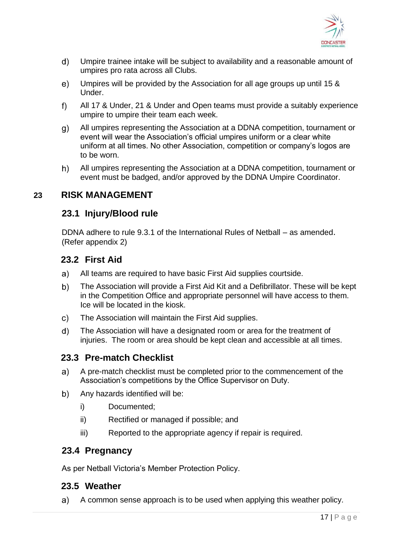

- $\mathsf{d}$ Umpire trainee intake will be subject to availability and a reasonable amount of umpires pro rata across all Clubs.
- $e)$ Umpires will be provided by the Association for all age groups up until 15 & Under.
- $f$ ) All 17 & Under, 21 & Under and Open teams must provide a suitably experience umpire to umpire their team each week.
- g) All umpires representing the Association at a DDNA competition, tournament or event will wear the Association's official umpires uniform or a clear white uniform at all times. No other Association, competition or company's logos are to be worn.
- h) All umpires representing the Association at a DDNA competition, tournament or event must be badged, and/or approved by the DDNA Umpire Coordinator.

#### **23 RISK MANAGEMENT**

#### **23.1 Injury/Blood rule**

DDNA adhere to rule 9.3.1 of the International Rules of Netball – as amended. (Refer appendix 2)

## **23.2 First Aid**

- $a)$ All teams are required to have basic First Aid supplies courtside.
- b) The Association will provide a First Aid Kit and a Defibrillator. These will be kept in the Competition Office and appropriate personnel will have access to them. Ice will be located in the kiosk.
- $\mathsf{C}$ The Association will maintain the First Aid supplies.
- $\mathsf{d}$ The Association will have a designated room or area for the treatment of injuries. The room or area should be kept clean and accessible at all times.

#### **23.3 Pre-match Checklist**

- a) A pre-match checklist must be completed prior to the commencement of the Association's competitions by the Office Supervisor on Duty.
- $b)$ Any hazards identified will be:
	- i) Documented;
	- ii) Rectified or managed if possible; and
	- iii) Reported to the appropriate agency if repair is required.

#### **23.4 Pregnancy**

As per Netball Victoria's Member Protection Policy.

#### **23.5 Weather**

a) A common sense approach is to be used when applying this weather policy.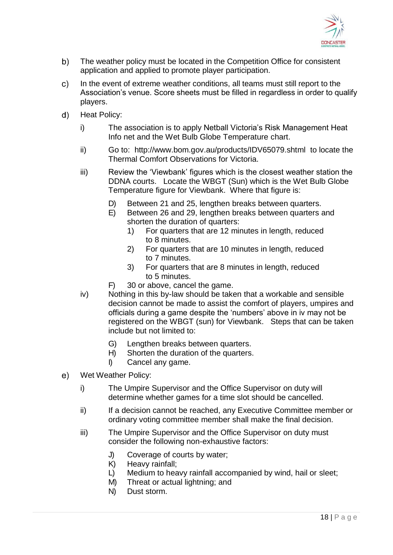

- b) The weather policy must be located in the Competition Office for consistent application and applied to promote player participation.
- In the event of extreme weather conditions, all teams must still report to the  $\mathsf{c}$ ) Association's venue. Score sheets must be filled in regardless in order to qualify players.
- $\mathsf{d}$ Heat Policy:
	- i) The association is to apply Netball Victoria's Risk Management Heat Info net and the Wet Bulb Globe Temperature chart.
	- ii) Go to: <http://www.bom.gov.au/products/IDV65079.shtml>to locate the Thermal Comfort Observations for Victoria.
	- iii) Review the 'Viewbank' figures which is the closest weather station the DDNA courts. Locate the WBGT (Sun) which is the Wet Bulb Globe Temperature figure for Viewbank. Where that figure is:
		- D) Between 21 and 25, lengthen breaks between quarters.
		- E) Between 26 and 29, lengthen breaks between quarters and shorten the duration of quarters:
			- 1) For quarters that are 12 minutes in length, reduced to 8 minutes.
			- 2) For quarters that are 10 minutes in length, reduced to 7 minutes.
			- 3) For quarters that are 8 minutes in length, reduced to 5 minutes.
		- F) 30 or above, cancel the game.
	- iv) Nothing in this by-law should be taken that a workable and sensible decision cannot be made to assist the comfort of players, umpires and officials during a game despite the 'numbers' above in iv may not be registered on the WBGT (sun) for Viewbank. Steps that can be taken include but not limited to:
		- G) Lengthen breaks between quarters.
		- H) Shorten the duration of the quarters.
		- I) Cancel any game.
- $e)$ Wet Weather Policy:
	- i) The Umpire Supervisor and the Office Supervisor on duty will determine whether games for a time slot should be cancelled.
	- ii) If a decision cannot be reached, any Executive Committee member or ordinary voting committee member shall make the final decision.
	- iii) The Umpire Supervisor and the Office Supervisor on duty must consider the following non-exhaustive factors:
		- J) Coverage of courts by water;
		- K) Heavy rainfall;
		- L) Medium to heavy rainfall accompanied by wind, hail or sleet;
		- M) Threat or actual lightning; and
		- N) Dust storm.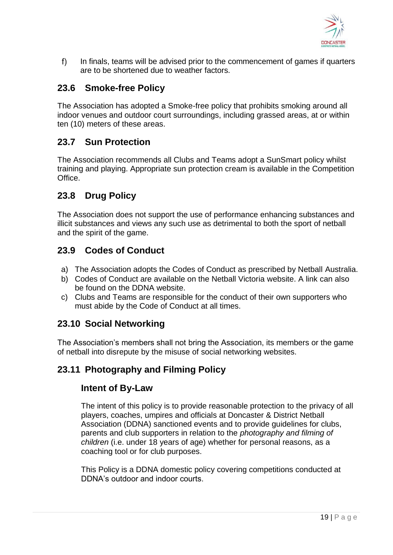

 $f$ ) In finals, teams will be advised prior to the commencement of games if quarters are to be shortened due to weather factors.

# **23.6 Smoke-free Policy**

The Association has adopted a Smoke-free policy that prohibits smoking around all indoor venues and outdoor court surroundings, including grassed areas, at or within ten (10) meters of these areas.

#### **23.7 Sun Protection**

The Association recommends all Clubs and Teams adopt a SunSmart policy whilst training and playing. Appropriate sun protection cream is available in the Competition **Office** 

#### **23.8 Drug Policy**

The Association does not support the use of performance enhancing substances and illicit substances and views any such use as detrimental to both the sport of netball and the spirit of the game.

## **23.9 Codes of Conduct**

- a) The Association adopts the Codes of Conduct as prescribed by Netball Australia.
- b) Codes of Conduct are available on the Netball Victoria website. A link can also be found on the DDNA website.
- c) Clubs and Teams are responsible for the conduct of their own supporters who must abide by the Code of Conduct at all times.

#### **23.10 Social Networking**

The Association's members shall not bring the Association, its members or the game of netball into disrepute by the misuse of social networking websites.

## **23.11 Photography and Filming Policy**

#### **Intent of By-Law**

The intent of this policy is to provide reasonable protection to the privacy of all players, coaches, umpires and officials at Doncaster & District Netball Association (DDNA) sanctioned events and to provide guidelines for clubs, parents and club supporters in relation to the *photography and filming of children* (i.e. under 18 years of age) whether for personal reasons, as a coaching tool or for club purposes.

This Policy is a DDNA domestic policy covering competitions conducted at DDNA's outdoor and indoor courts.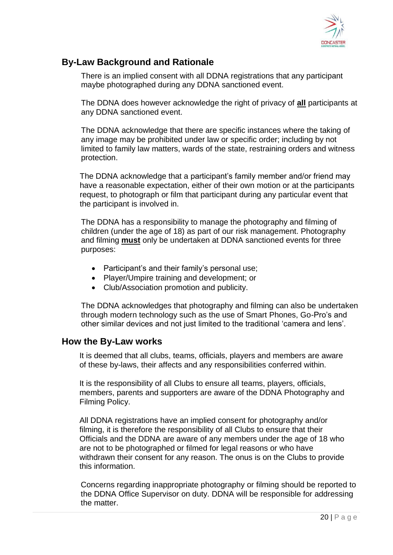

# **By-Law Background and Rationale**

There is an implied consent with all DDNA registrations that any participant maybe photographed during any DDNA sanctioned event.

The DDNA does however acknowledge the right of privacy of **all** participants at any DDNA sanctioned event.

The DDNA acknowledge that there are specific instances where the taking of any image may be prohibited under law or specific order; including by not limited to family law matters, wards of the state, restraining orders and witness protection.

The DDNA acknowledge that a participant's family member and/or friend may have a reasonable expectation, either of their own motion or at the participants request, to photograph or film that participant during any particular event that the participant is involved in.

The DDNA has a responsibility to manage the photography and filming of children (under the age of 18) as part of our risk management. Photography and filming **must** only be undertaken at DDNA sanctioned events for three purposes:

- Participant's and their family's personal use;
- Player/Umpire training and development; or
- Club/Association promotion and publicity.

The DDNA acknowledges that photography and filming can also be undertaken through modern technology such as the use of Smart Phones, Go-Pro's and other similar devices and not just limited to the traditional 'camera and lens'.

#### **How the By-Law works**

It is deemed that all clubs, teams, officials, players and members are aware of these by-laws, their affects and any responsibilities conferred within.

It is the responsibility of all Clubs to ensure all teams, players, officials, members, parents and supporters are aware of the DDNA Photography and Filming Policy.

All DDNA registrations have an implied consent for photography and/or filming, it is therefore the responsibility of all Clubs to ensure that their Officials and the DDNA are aware of any members under the age of 18 who are not to be photographed or filmed for legal reasons or who have withdrawn their consent for any reason. The onus is on the Clubs to provide this information.

Concerns regarding inappropriate photography or filming should be reported to the DDNA Office Supervisor on duty. DDNA will be responsible for addressing the matter.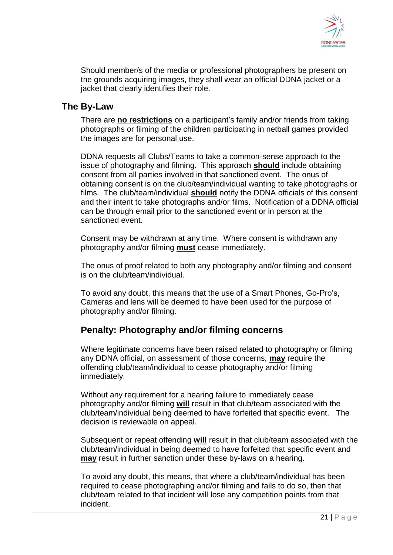

Should member/s of the media or professional photographers be present on the grounds acquiring images, they shall wear an official DDNA jacket or a jacket that clearly identifies their role.

#### **The By-Law**

There are **no restrictions** on a participant's family and/or friends from taking photographs or filming of the children participating in netball games provided the images are for personal use.

DDNA requests all Clubs/Teams to take a common-sense approach to the issue of photography and filming. This approach **should** include obtaining consent from all parties involved in that sanctioned event. The onus of obtaining consent is on the club/team/individual wanting to take photographs or films. The club/team/individual **should** notify the DDNA officials of this consent and their intent to take photographs and/or films. Notification of a DDNA official can be through email prior to the sanctioned event or in person at the sanctioned event.

Consent may be withdrawn at any time. Where consent is withdrawn any photography and/or filming **must** cease immediately.

The onus of proof related to both any photography and/or filming and consent is on the club/team/individual.

To avoid any doubt, this means that the use of a Smart Phones, Go-Pro's, Cameras and lens will be deemed to have been used for the purpose of photography and/or filming.

#### **Penalty: Photography and/or filming concerns**

Where legitimate concerns have been raised related to photography or filming any DDNA official, on assessment of those concerns, **may** require the offending club/team/individual to cease photography and/or filming immediately.

Without any requirement for a hearing failure to immediately cease photography and/or filming **will** result in that club/team associated with the club/team/individual being deemed to have forfeited that specific event. The decision is reviewable on appeal.

Subsequent or repeat offending **will** result in that club/team associated with the club/team/individual in being deemed to have forfeited that specific event and **may** result in further sanction under these by-laws on a hearing.

To avoid any doubt, this means, that where a club/team/individual has been required to cease photographing and/or filming and fails to do so, then that club/team related to that incident will lose any competition points from that incident.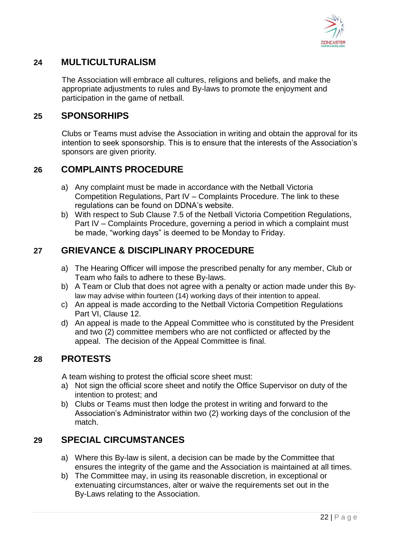

# **24 MULTICULTURALISM**

The Association will embrace all cultures, religions and beliefs, and make the appropriate adjustments to rules and By-laws to promote the enjoyment and participation in the game of netball.

## **25 SPONSORHIPS**

Clubs or Teams must advise the Association in writing and obtain the approval for its intention to seek sponsorship. This is to ensure that the interests of the Association's sponsors are given priority.

## **26 COMPLAINTS PROCEDURE**

- a) Any complaint must be made in accordance with the Netball Victoria Competition Regulations, Part IV – Complaints Procedure. The link to these regulations can be found on DDNA's website.
- b) With respect to Sub Clause 7.5 of the Netball Victoria Competition Regulations, Part IV – Complaints Procedure, governing a period in which a complaint must be made, "working days" is deemed to be Monday to Friday.

## **27 GRIEVANCE & DISCIPLINARY PROCEDURE**

- a) The Hearing Officer will impose the prescribed penalty for any member, Club or Team who fails to adhere to these By-laws.
- b) A Team or Club that does not agree with a penalty or action made under this Bylaw may advise within fourteen (14) working days of their intention to appeal.
- c) An appeal is made according to the Netball Victoria Competition Regulations Part VI, Clause 12.
- d) An appeal is made to the Appeal Committee who is constituted by the President and two (2) committee members who are not conflicted or affected by the appeal. The decision of the Appeal Committee is final.

## **28 PROTESTS**

A team wishing to protest the official score sheet must:

- a) Not sign the official score sheet and notify the Office Supervisor on duty of the intention to protest; and
- b) Clubs or Teams must then lodge the protest in writing and forward to the Association's Administrator within two (2) working days of the conclusion of the match.

## **29 SPECIAL CIRCUMSTANCES**

- a) Where this By-law is silent, a decision can be made by the Committee that ensures the integrity of the game and the Association is maintained at all times.
- b) The Committee may, in using its reasonable discretion, in exceptional or extenuating circumstances, alter or waive the requirements set out in the By-Laws relating to the Association.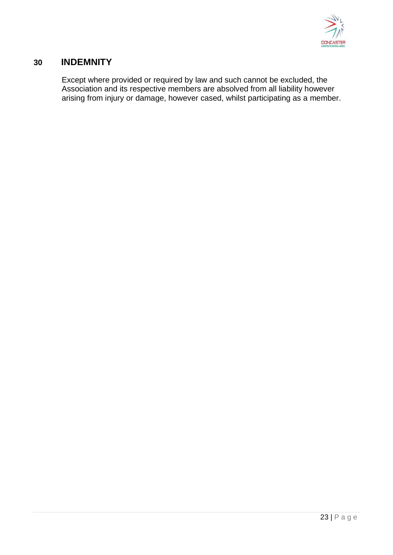

#### **30 INDEMNITY**

Except where provided or required by law and such cannot be excluded, the Association and its respective members are absolved from all liability however arising from injury or damage, however cased, whilst participating as a member.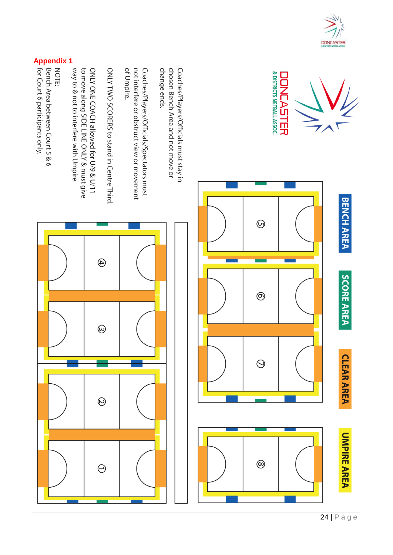





change ends. chosen Bench Area and not move or Coaches/Players/Officials must stay in

of Umpire. not interfere or obstruct view or movement Coaches/Players/Officials/Spectators must

ONLY TWO SCORERS to stand in Centre Third

way to & not to interfere with Umpire. to move along SIDE LINE ONLY & must give ONLY ONE COACH allowed for U/9 & U/11

**Apple 1994**<br> **Apple 1994**<br> **Apple 101**<br> **Apple 101 Court 6 participants only.**<br> **Apple 101 Court 6 participants only.**